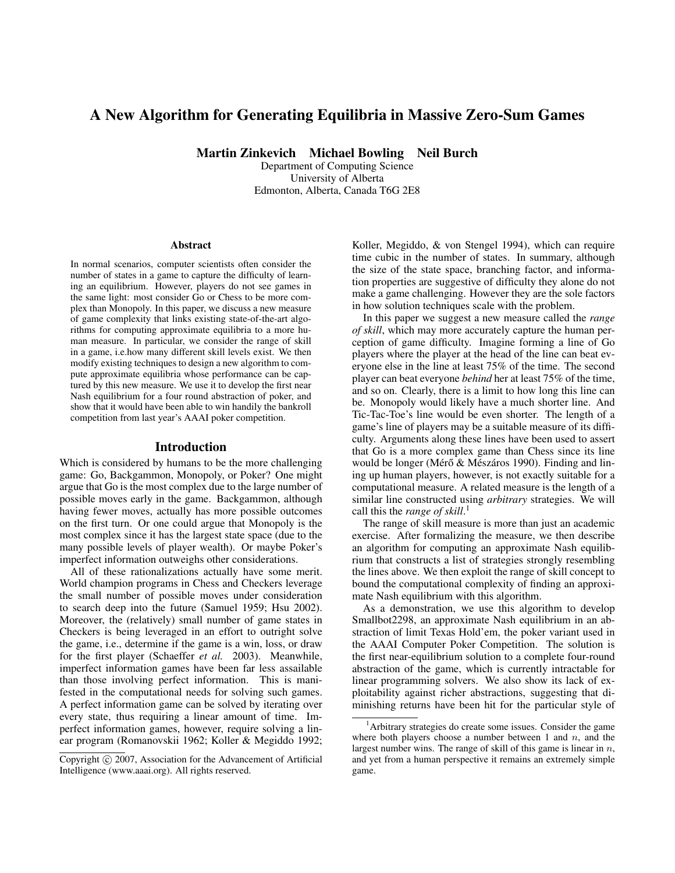# A New Algorithm for Generating Equilibria in Massive Zero-Sum Games

Martin Zinkevich Michael Bowling Neil Burch

Department of Computing Science University of Alberta Edmonton, Alberta, Canada T6G 2E8

#### Abstract

In normal scenarios, computer scientists often consider the number of states in a game to capture the difficulty of learning an equilibrium. However, players do not see games in the same light: most consider Go or Chess to be more complex than Monopoly. In this paper, we discuss a new measure of game complexity that links existing state-of-the-art algorithms for computing approximate equilibria to a more human measure. In particular, we consider the range of skill in a game, i.e.how many different skill levels exist. We then modify existing techniques to design a new algorithm to compute approximate equilibria whose performance can be captured by this new measure. We use it to develop the first near Nash equilibrium for a four round abstraction of poker, and show that it would have been able to win handily the bankroll competition from last year's AAAI poker competition.

#### Introduction

Which is considered by humans to be the more challenging game: Go, Backgammon, Monopoly, or Poker? One might argue that Go is the most complex due to the large number of possible moves early in the game. Backgammon, although having fewer moves, actually has more possible outcomes on the first turn. Or one could argue that Monopoly is the most complex since it has the largest state space (due to the many possible levels of player wealth). Or maybe Poker's imperfect information outweighs other considerations.

All of these rationalizations actually have some merit. World champion programs in Chess and Checkers leverage the small number of possible moves under consideration to search deep into the future (Samuel 1959; Hsu 2002). Moreover, the (relatively) small number of game states in Checkers is being leveraged in an effort to outright solve the game, i.e., determine if the game is a win, loss, or draw for the first player (Schaeffer *et al.* 2003). Meanwhile, imperfect information games have been far less assailable than those involving perfect information. This is manifested in the computational needs for solving such games. A perfect information game can be solved by iterating over every state, thus requiring a linear amount of time. Imperfect information games, however, require solving a linear program (Romanovskii 1962; Koller & Megiddo 1992; Koller, Megiddo, & von Stengel 1994), which can require time cubic in the number of states. In summary, although the size of the state space, branching factor, and information properties are suggestive of difficulty they alone do not make a game challenging. However they are the sole factors in how solution techniques scale with the problem.

In this paper we suggest a new measure called the *range of skill*, which may more accurately capture the human perception of game difficulty. Imagine forming a line of Go players where the player at the head of the line can beat everyone else in the line at least 75% of the time. The second player can beat everyone *behind* her at least 75% of the time, and so on. Clearly, there is a limit to how long this line can be. Monopoly would likely have a much shorter line. And Tic-Tac-Toe's line would be even shorter. The length of a game's line of players may be a suitable measure of its difficulty. Arguments along these lines have been used to assert that Go is a more complex game than Chess since its line would be longer (Mérő  $&$  Mészáros 1990). Finding and lining up human players, however, is not exactly suitable for a computational measure. A related measure is the length of a similar line constructed using *arbitrary* strategies. We will call this the *range of skill*. 1

The range of skill measure is more than just an academic exercise. After formalizing the measure, we then describe an algorithm for computing an approximate Nash equilibrium that constructs a list of strategies strongly resembling the lines above. We then exploit the range of skill concept to bound the computational complexity of finding an approximate Nash equilibrium with this algorithm.

As a demonstration, we use this algorithm to develop Smallbot2298, an approximate Nash equilibrium in an abstraction of limit Texas Hold'em, the poker variant used in the AAAI Computer Poker Competition. The solution is the first near-equilibrium solution to a complete four-round abstraction of the game, which is currently intractable for linear programming solvers. We also show its lack of exploitability against richer abstractions, suggesting that diminishing returns have been hit for the particular style of

Copyright (c) 2007, Association for the Advancement of Artificial Intelligence (www.aaai.org). All rights reserved.

<sup>&</sup>lt;sup>1</sup>Arbitrary strategies do create some issues. Consider the game where both players choose a number between 1 and  $n$ , and the largest number wins. The range of skill of this game is linear in  $n$ , and yet from a human perspective it remains an extremely simple game.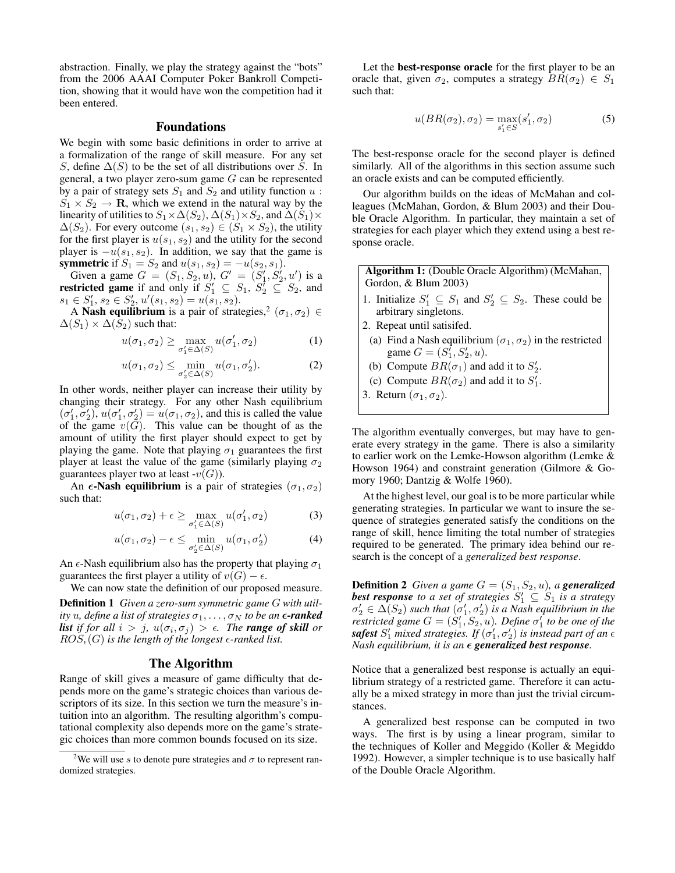abstraction. Finally, we play the strategy against the "bots" from the 2006 AAAI Computer Poker Bankroll Competition, showing that it would have won the competition had it been entered.

### Foundations

We begin with some basic definitions in order to arrive at a formalization of the range of skill measure. For any set S, define  $\Delta(S)$  to be the set of all distributions over S. In general, a two player zero-sum game G can be represented by a pair of strategy sets  $S_1$  and  $S_2$  and utility function  $u$ :  $S_1 \times S_2 \rightarrow \mathbf{R}$ , which we extend in the natural way by the linearity of utilities to  $S_1 \times \Delta(S_2)$ ,  $\Delta(S_1) \times S_2$ , and  $\Delta(S_1) \times$  $\Delta(S_2)$ . For every outcome  $(s_1, s_2) \in (S_1 \times S_2)$ , the utility for the first player is  $u(s_1, s_2)$  and the utility for the second player is  $-u(s_1, s_2)$ . In addition, we say that the game is **symmetric** if  $S_1 = S_2$  and  $u(s_1, s_2) = -u(s_2, s_1)$ .

Given a game  $G = (S_1, S_2, u), G' = (S_1', S_2', u')$  is a **restricted game** if and only if  $S'_1 \subseteq S_1$ ,  $S'_2 \subseteq S_2$ , and  $s_1 \in S'_1, s_2 \in S'_2, u'(s_1, s_2) = u(s_1, s_2).$ 

A Nash equilibrium is a pair of strategies,<sup>2</sup> ( $\sigma_1, \sigma_2$ )  $\in$  $\Delta(S_1) \times \Delta(S_2)$  such that:

$$
u(\sigma_1, \sigma_2) \ge \max_{\sigma_1' \in \Delta(S)} u(\sigma_1', \sigma_2)
$$
 (1)

$$
u(\sigma_1, \sigma_2) \le \min_{\sigma_2' \in \Delta(S)} u(\sigma_1, \sigma_2'). \tag{2}
$$

In other words, neither player can increase their utility by changing their strategy. For any other Nash equilibrium  $(\sigma'_1, \sigma'_2), u(\sigma'_1, \sigma'_2) = u(\sigma_1, \sigma_2)$ , and this is called the value of the game  $v(G)$ . This value can be thought of as the amount of utility the first player should expect to get by playing the game. Note that playing  $\sigma_1$  guarantees the first player at least the value of the game (similarly playing  $\sigma_2$ ) guarantees player two at least  $-v(G)$ ).

An  $\epsilon$ -Nash equilibrium is a pair of strategies  $(\sigma_1, \sigma_2)$ such that:

$$
u(\sigma_1, \sigma_2) + \epsilon \ge \max_{\sigma_1' \in \Delta(S)} u(\sigma_1', \sigma_2)
$$
 (3)

$$
u(\sigma_1, \sigma_2) - \epsilon \le \min_{\sigma_2' \in \Delta(S)} u(\sigma_1, \sigma_2') \tag{4}
$$

An  $\epsilon$ -Nash equilibrium also has the property that playing  $\sigma_1$ guarantees the first player a utility of  $v(G) - \epsilon$ .

We can now state the definition of our proposed measure.

Definition 1 *Given a zero-sum symmetric game* G *with utility* u, define a list of strategies  $\sigma_1, \ldots, \sigma_N$  to be an  $\epsilon$ **-ranked** *list* if for all  $i > j$ ,  $u(\sigma_i, \sigma_j) > \epsilon$ . The **range of skill** or  $ROS_{\epsilon}(G)$  *is the length of the longest*  $\epsilon$ -ranked list.

### The Algorithm

Range of skill gives a measure of game difficulty that depends more on the game's strategic choices than various descriptors of its size. In this section we turn the measure's intuition into an algorithm. The resulting algorithm's computational complexity also depends more on the game's strategic choices than more common bounds focused on its size.

Let the best-response oracle for the first player to be an oracle that, given  $\sigma_2$ , computes a strategy  $BR(\sigma_2) \in S_1$ such that:

$$
u(BR(\sigma_2), \sigma_2) = \max_{s_1' \in S} (s_1', \sigma_2)
$$
 (5)

The best-response oracle for the second player is defined similarly. All of the algorithms in this section assume such an oracle exists and can be computed efficiently.

Our algorithm builds on the ideas of McMahan and colleagues (McMahan, Gordon, & Blum 2003) and their Double Oracle Algorithm. In particular, they maintain a set of strategies for each player which they extend using a best response oracle.

Algorithm 1: (Double Oracle Algorithm) (McMahan, Gordon, & Blum 2003)

- 1. Initialize  $S'_1 \subseteq S_1$  and  $S'_2 \subseteq S_2$ . These could be arbitrary singletons.
- 2. Repeat until satisifed.
- (a) Find a Nash equilibrium  $(\sigma_1, \sigma_2)$  in the restricted game  $G = (S_1^{\prime}, S_2^{\prime}, u)$ .
- (b) Compute  $BR(\sigma_1)$  and add it to  $S'_2$ .
- (c) Compute  $BR(\sigma_2)$  and add it to  $S'_1$ .
- 3. Return  $(\sigma_1, \sigma_2)$ .

The algorithm eventually converges, but may have to generate every strategy in the game. There is also a similarity to earlier work on the Lemke-Howson algorithm (Lemke & Howson 1964) and constraint generation (Gilmore & Gomory 1960; Dantzig & Wolfe 1960).

At the highest level, our goal is to be more particular while generating strategies. In particular we want to insure the sequence of strategies generated satisfy the conditions on the range of skill, hence limiting the total number of strategies required to be generated. The primary idea behind our research is the concept of a *generalized best response*.

**Definition 2** *Given a game*  $G = (S_1, S_2, u)$ *, a generalized* **best response** to a set of strategies  $S'_1 \subseteq S_1$  is a strategy  $\sigma'_2 \in \Delta(S_2)$  such that  $(\sigma'_1, \sigma'_2)$  is a Nash equilibrium in the *restricted game*  $G = (\dot{S}'_1, \dot{S}_2, u)$ *. Define*  $\sigma'_1$  to be one of the  ${\bf s}$ afest  $S_1'$  mixed strategies. If  $(\sigma_1',\sigma_2')$  is instead part of an  $\epsilon$ *Nash equilibrium, it is an*  $\epsilon$  *generalized best response.* 

Notice that a generalized best response is actually an equilibrium strategy of a restricted game. Therefore it can actually be a mixed strategy in more than just the trivial circumstances.

A generalized best response can be computed in two ways. The first is by using a linear program, similar to the techniques of Koller and Meggido (Koller & Megiddo 1992). However, a simpler technique is to use basically half of the Double Oracle Algorithm.

<sup>&</sup>lt;sup>2</sup>We will use s to denote pure strategies and  $\sigma$  to represent randomized strategies.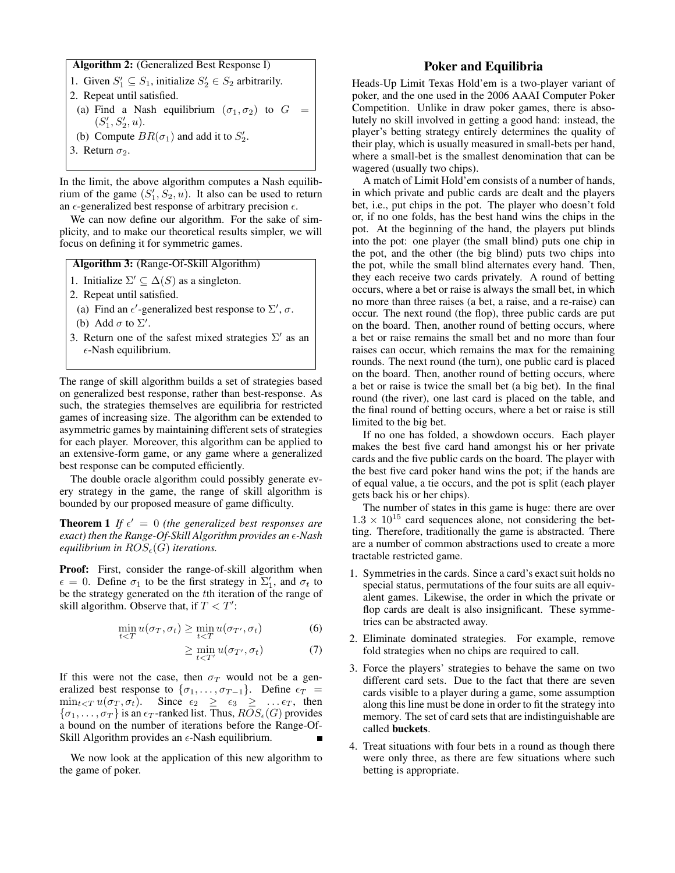#### Algorithm 2: (Generalized Best Response I)

- 1. Given  $S'_1 \subseteq S_1$ , initialize  $S'_2 \in S_2$  arbitrarily.
- 2. Repeat until satisfied.
- (a) Find a Nash equilibrium  $(\sigma_1, \sigma_2)$  to  $G =$  $(S'_1, S'_2, u).$
- (b) Compute  $BR(\sigma_1)$  and add it to  $S'_2$ .
- 3. Return  $\sigma_2$ .

In the limit, the above algorithm computes a Nash equilibrium of the game  $(S'_1, S_2, u)$ . It also can be used to return an  $\epsilon$ -generalized best response of arbitrary precision  $\epsilon$ .

We can now define our algorithm. For the sake of simplicity, and to make our theoretical results simpler, we will focus on defining it for symmetric games.

Algorithm 3: (Range-Of-Skill Algorithm)

- 1. Initialize  $\Sigma' \subseteq \Delta(S)$  as a singleton.
- 2. Repeat until satisfied.
- (a) Find an  $\epsilon'$ -generalized best response to  $\Sigma'$ ,  $\sigma$ .
- (b) Add  $\sigma$  to  $\Sigma'$ .
- 3. Return one of the safest mixed strategies  $\Sigma'$  as an  $\epsilon$ -Nash equilibrium.

The range of skill algorithm builds a set of strategies based on generalized best response, rather than best-response. As such, the strategies themselves are equilibria for restricted games of increasing size. The algorithm can be extended to asymmetric games by maintaining different sets of strategies for each player. Moreover, this algorithm can be applied to an extensive-form game, or any game where a generalized best response can be computed efficiently.

The double oracle algorithm could possibly generate every strategy in the game, the range of skill algorithm is bounded by our proposed measure of game difficulty.

**Theorem 1** If  $\epsilon' = 0$  (the generalized best responses are *exact) then the Range-Of-Skill Algorithm provides an -Nash equilibrium in*  $ROS_{\epsilon}(G)$  *iterations.* 

Proof: First, consider the range-of-skill algorithm when  $\epsilon = 0$ . Define  $\sigma_1$  to be the first strategy in  $\Sigma'_1$ , and  $\sigma_t$  to be the strategy generated on the tth iteration of the range of skill algorithm. Observe that, if  $T < T'$ :

$$
\min_{t\n(6)
$$

$$
\geq \min_{t < T'} u(\sigma_{T'}, \sigma_t) \tag{7}
$$

If this were not the case, then  $\sigma_T$  would not be a generalized best response to  $\{\sigma_1, \ldots, \sigma_{T-1}\}$ . Define  $\epsilon_T$  =  $\min_{t \leq T} u(\sigma_T, \sigma_t)$ . Since  $\epsilon_2 \geq \epsilon_3 \geq \ldots \epsilon_T$ , then  $\{\sigma_1, \ldots, \sigma_T\}$  is an  $\epsilon_T$ -ranked list. Thus,  $ROS_{\epsilon}(G)$  provides a bound on the number of iterations before the Range-Of-Skill Algorithm provides an  $\epsilon$ -Nash equilibrium.

We now look at the application of this new algorithm to the game of poker.

## Poker and Equilibria

Heads-Up Limit Texas Hold'em is a two-player variant of poker, and the one used in the 2006 AAAI Computer Poker Competition. Unlike in draw poker games, there is absolutely no skill involved in getting a good hand: instead, the player's betting strategy entirely determines the quality of their play, which is usually measured in small-bets per hand, where a small-bet is the smallest denomination that can be wagered (usually two chips).

A match of Limit Hold'em consists of a number of hands, in which private and public cards are dealt and the players bet, i.e., put chips in the pot. The player who doesn't fold or, if no one folds, has the best hand wins the chips in the pot. At the beginning of the hand, the players put blinds into the pot: one player (the small blind) puts one chip in the pot, and the other (the big blind) puts two chips into the pot, while the small blind alternates every hand. Then, they each receive two cards privately. A round of betting occurs, where a bet or raise is always the small bet, in which no more than three raises (a bet, a raise, and a re-raise) can occur. The next round (the flop), three public cards are put on the board. Then, another round of betting occurs, where a bet or raise remains the small bet and no more than four raises can occur, which remains the max for the remaining rounds. The next round (the turn), one public card is placed on the board. Then, another round of betting occurs, where a bet or raise is twice the small bet (a big bet). In the final round (the river), one last card is placed on the table, and the final round of betting occurs, where a bet or raise is still limited to the big bet.

If no one has folded, a showdown occurs. Each player makes the best five card hand amongst his or her private cards and the five public cards on the board. The player with the best five card poker hand wins the pot; if the hands are of equal value, a tie occurs, and the pot is split (each player gets back his or her chips).

The number of states in this game is huge: there are over  $1.3 \times 10^{15}$  card sequences alone, not considering the betting. Therefore, traditionally the game is abstracted. There are a number of common abstractions used to create a more tractable restricted game.

- 1. Symmetries in the cards. Since a card's exact suit holds no special status, permutations of the four suits are all equivalent games. Likewise, the order in which the private or flop cards are dealt is also insignificant. These symmetries can be abstracted away.
- 2. Eliminate dominated strategies. For example, remove fold strategies when no chips are required to call.
- 3. Force the players' strategies to behave the same on two different card sets. Due to the fact that there are seven cards visible to a player during a game, some assumption along this line must be done in order to fit the strategy into memory. The set of card sets that are indistinguishable are called buckets.
- 4. Treat situations with four bets in a round as though there were only three, as there are few situations where such betting is appropriate.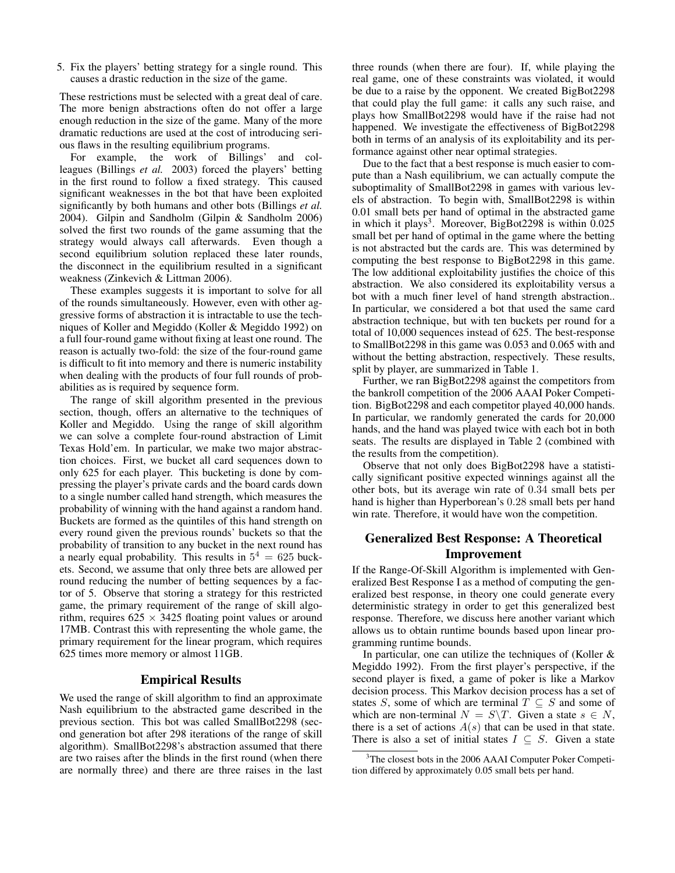5. Fix the players' betting strategy for a single round. This causes a drastic reduction in the size of the game.

These restrictions must be selected with a great deal of care. The more benign abstractions often do not offer a large enough reduction in the size of the game. Many of the more dramatic reductions are used at the cost of introducing serious flaws in the resulting equilibrium programs.

For example, the work of Billings' and colleagues (Billings *et al.* 2003) forced the players' betting in the first round to follow a fixed strategy. This caused significant weaknesses in the bot that have been exploited significantly by both humans and other bots (Billings *et al.* 2004). Gilpin and Sandholm (Gilpin & Sandholm 2006) solved the first two rounds of the game assuming that the strategy would always call afterwards. Even though a second equilibrium solution replaced these later rounds, the disconnect in the equilibrium resulted in a significant weakness (Zinkevich & Littman 2006).

These examples suggests it is important to solve for all of the rounds simultaneously. However, even with other aggressive forms of abstraction it is intractable to use the techniques of Koller and Megiddo (Koller & Megiddo 1992) on a full four-round game without fixing at least one round. The reason is actually two-fold: the size of the four-round game is difficult to fit into memory and there is numeric instability when dealing with the products of four full rounds of probabilities as is required by sequence form.

The range of skill algorithm presented in the previous section, though, offers an alternative to the techniques of Koller and Megiddo. Using the range of skill algorithm we can solve a complete four-round abstraction of Limit Texas Hold'em. In particular, we make two major abstraction choices. First, we bucket all card sequences down to only 625 for each player. This bucketing is done by compressing the player's private cards and the board cards down to a single number called hand strength, which measures the probability of winning with the hand against a random hand. Buckets are formed as the quintiles of this hand strength on every round given the previous rounds' buckets so that the probability of transition to any bucket in the next round has a nearly equal probability. This results in  $5^4 = 625$  buckets. Second, we assume that only three bets are allowed per round reducing the number of betting sequences by a factor of 5. Observe that storing a strategy for this restricted game, the primary requirement of the range of skill algorithm, requires  $625 \times 3425$  floating point values or around 17MB. Contrast this with representing the whole game, the primary requirement for the linear program, which requires 625 times more memory or almost 11GB.

## Empirical Results

We used the range of skill algorithm to find an approximate Nash equilibrium to the abstracted game described in the previous section. This bot was called SmallBot2298 (second generation bot after 298 iterations of the range of skill algorithm). SmallBot2298's abstraction assumed that there are two raises after the blinds in the first round (when there are normally three) and there are three raises in the last

three rounds (when there are four). If, while playing the real game, one of these constraints was violated, it would be due to a raise by the opponent. We created BigBot2298 that could play the full game: it calls any such raise, and plays how SmallBot2298 would have if the raise had not happened. We investigate the effectiveness of BigBot2298 both in terms of an analysis of its exploitability and its performance against other near optimal strategies.

Due to the fact that a best response is much easier to compute than a Nash equilibrium, we can actually compute the suboptimality of SmallBot2298 in games with various levels of abstraction. To begin with, SmallBot2298 is within 0.01 small bets per hand of optimal in the abstracted game in which it plays<sup>3</sup>. Moreover, BigBot2298 is within  $0.025$ small bet per hand of optimal in the game where the betting is not abstracted but the cards are. This was determined by computing the best response to BigBot2298 in this game. The low additional exploitability justifies the choice of this abstraction. We also considered its exploitability versus a bot with a much finer level of hand strength abstraction.. In particular, we considered a bot that used the same card abstraction technique, but with ten buckets per round for a total of 10,000 sequences instead of 625. The best-response to SmallBot2298 in this game was 0.053 and 0.065 with and without the betting abstraction, respectively. These results, split by player, are summarized in Table 1.

Further, we ran BigBot2298 against the competitors from the bankroll competition of the 2006 AAAI Poker Competition. BigBot2298 and each competitor played 40,000 hands. In particular, we randomly generated the cards for 20,000 hands, and the hand was played twice with each bot in both seats. The results are displayed in Table 2 (combined with the results from the competition).

Observe that not only does BigBot2298 have a statistically significant positive expected winnings against all the other bots, but its average win rate of 0.34 small bets per hand is higher than Hyperborean's 0.28 small bets per hand win rate. Therefore, it would have won the competition.

# Generalized Best Response: A Theoretical Improvement

If the Range-Of-Skill Algorithm is implemented with Generalized Best Response I as a method of computing the generalized best response, in theory one could generate every deterministic strategy in order to get this generalized best response. Therefore, we discuss here another variant which allows us to obtain runtime bounds based upon linear programming runtime bounds.

In particular, one can utilize the techniques of (Koller & Megiddo 1992). From the first player's perspective, if the second player is fixed, a game of poker is like a Markov decision process. This Markov decision process has a set of states S, some of which are terminal  $T \subseteq S$  and some of which are non-terminal  $N = S\T$ . Given a state  $s \in N$ , there is a set of actions  $A(s)$  that can be used in that state. There is also a set of initial states  $I \subseteq S$ . Given a state

<sup>&</sup>lt;sup>3</sup>The closest bots in the 2006 AAAI Computer Poker Competition differed by approximately 0.05 small bets per hand.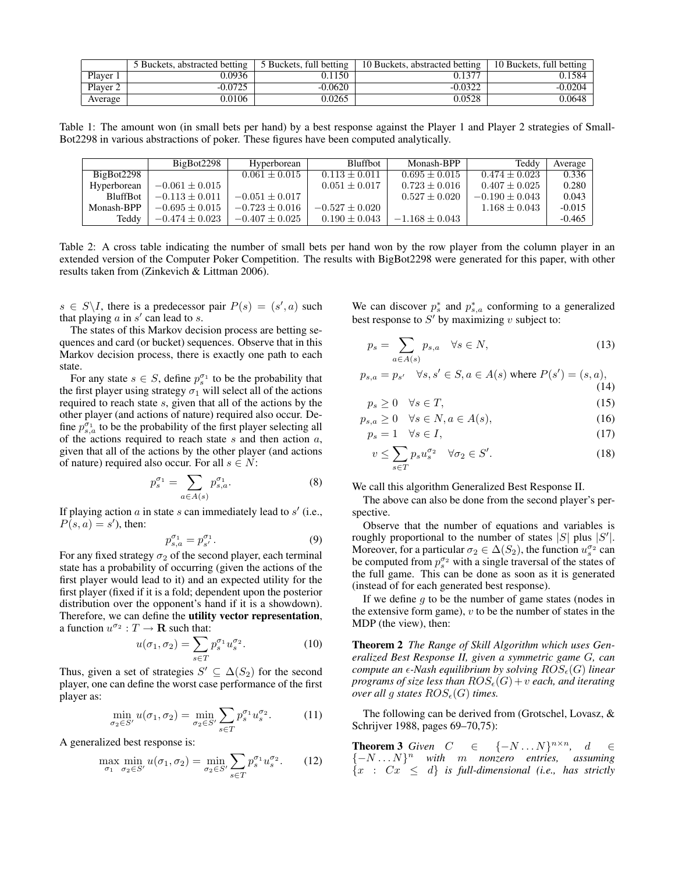|          | 5 Buckets, abstracted betting 1 | 5 Buckets, full betting | 10 Buckets, abstracted betting | 10 Buckets, full betting |
|----------|---------------------------------|-------------------------|--------------------------------|--------------------------|
| Player 1 | 0.0936                          | 0.1150                  | 0.1377                         | 0.1584                   |
| Player 2 | $-0.0725$                       | $-0.0620$               | $-0.0322$                      | $-0.0204$                |
| Average  | 0.0106                          | 0.0265                  | 0.0528                         | 0.0648                   |

Table 1: The amount won (in small bets per hand) by a best response against the Player 1 and Player 2 strategies of Small-Bot2298 in various abstractions of poker. These figures have been computed analytically.

|                 | BigBot2298         | Hyperborean      | <b>Bluffbot</b>   | Monash-BPP         | Teddy             | Average  |
|-----------------|--------------------|------------------|-------------------|--------------------|-------------------|----------|
| BigBot2298      |                    | $0.061 + 0.015$  | $0.113 + 0.011$   | $0.695 + 0.015$    | $0.474 \pm 0.023$ | 0.336    |
| Hyperborean     | $-0.061 \pm 0.015$ |                  | $0.051 \pm 0.017$ | $0.723 \pm 0.016$  | $0.407 \pm 0.025$ | 0.280    |
| <b>BluffBot</b> | $-0.113 + 0.011$   | $-0.051 + 0.017$ |                   | $0.527 + 0.020$    | $-0.190 + 0.043$  | 0.043    |
| Monash-BPP      | $-0.695 + 0.015$   | $-0.723 + 0.016$ | $-0.527 + 0.020$  |                    | $1.168 + 0.043$   | $-0.015$ |
| Teddy           | $-0.474 \pm 0.023$ | $-0.407 + 0.025$ | $0.190 \pm 0.043$ | $-1.168 \pm 0.043$ |                   | $-0.465$ |

Table 2: A cross table indicating the number of small bets per hand won by the row player from the column player in an extended version of the Computer Poker Competition. The results with BigBot2298 were generated for this paper, with other results taken from (Zinkevich & Littman 2006).

 $s \in S \backslash I$ , there is a predecessor pair  $P(s) = (s', a)$  such that playing  $a$  in  $s'$  can lead to  $s$ .

The states of this Markov decision process are betting sequences and card (or bucket) sequences. Observe that in this Markov decision process, there is exactly one path to each state.

For any state  $s \in S$ , define  $p_s^{\sigma_1}$  to be the probability that the first player using strategy  $\sigma_1$  will select all of the actions required to reach state s, given that all of the actions by the other player (and actions of nature) required also occur. Define  $p_{s,a}^{\sigma_1}$  to be the probability of the first player selecting all of the actions required to reach state  $s$  and then action  $a$ , given that all of the actions by the other player (and actions of nature) required also occur. For all  $s \in N$ :

$$
p_s^{\sigma_1} = \sum_{a \in A(s)} p_{s,a}^{\sigma_1}.
$$
 (8)

If playing action  $a$  in state  $s$  can immediately lead to  $s'$  (i.e.,  $P(s, a) = s'$ , then:

$$
p_{s,a}^{\sigma_1} = p_{s'}^{\sigma_1}.
$$
\n<sup>(9)</sup>

For any fixed strategy  $\sigma_2$  of the second player, each terminal state has a probability of occurring (given the actions of the first player would lead to it) and an expected utility for the first player (fixed if it is a fold; dependent upon the posterior distribution over the opponent's hand if it is a showdown). Therefore, we can define the utility vector representation, a function  $u^{\sigma_2}: T \to \mathbf{R}$  such that:

$$
u(\sigma_1, \sigma_2) = \sum_{s \in T} p_s^{\sigma_1} u_s^{\sigma_2}.
$$
 (10)

Thus, given a set of strategies  $S' \subseteq \Delta(S_2)$  for the second player, one can define the worst case performance of the first player as:

$$
\min_{\sigma_2 \in S'} u(\sigma_1, \sigma_2) = \min_{\sigma_2 \in S'} \sum_{s \in T} p_s^{\sigma_1} u_s^{\sigma_2}.
$$
 (11)

A generalized best response is:

$$
\max_{\sigma_1} \min_{\sigma_2 \in S'} u(\sigma_1, \sigma_2) = \min_{\sigma_2 \in S'} \sum_{s \in T} p_s^{\sigma_1} u_s^{\sigma_2}.
$$
 (12)

We can discover  $p_s^*$  and  $p_{s,a}^*$  conforming to a generalized best response to  $S'$  by maximizing v subject to:

$$
p_s = \sum_{a \in A(s)} p_{s,a} \quad \forall s \in N,
$$
\n(13)

$$
p_{s,a} = p_{s'} \quad \forall s, s' \in S, a \in A(s) \text{ where } P(s') = (s, a),
$$
\n(14)

$$
p_s \ge 0 \quad \forall s \in T,\tag{15}
$$

$$
p_{s,a} \ge 0 \quad \forall s \in N, a \in A(s), \tag{16}
$$

$$
p_s = 1 \quad \forall s \in I,\tag{17}
$$

$$
v \le \sum_{s \in T} p_s u_s^{\sigma_2} \quad \forall \sigma_2 \in S'. \tag{18}
$$

We call this algorithm Generalized Best Response II.

The above can also be done from the second player's perspective.

Observe that the number of equations and variables is roughly proportional to the number of states  $|S|$  plus  $|S'|$ . Moreover, for a particular  $\sigma_2 \in \Delta(S_2)$ , the function  $u_s^{\sigma_2}$  can be computed from  $p_s^{\sigma_2}$  with a single traversal of the states of the full game. This can be done as soon as it is generated (instead of for each generated best response).

If we define  $q$  to be the number of game states (nodes in the extensive form game),  $v$  to be the number of states in the MDP (the view), then:

Theorem 2 *The Range of Skill Algorithm which uses Generalized Best Response II, given a symmetric game* G*, can compute an*  $\epsilon$ -Nash equilibrium by solving  $ROS_{\epsilon}(G)$  linear *programs of size less than*  $ROS_{\epsilon}(G) + v$  *each, and iterating over all g states*  $ROS_{\epsilon}(G)$  *times.* 

The following can be derived from (Grotschel, Lovasz, & Schrijver 1988, pages 69–70,75):

**Theorem 3** Given  $C$  ∈ {−N...N}<sup>n×n</sup>, d ∈ {−N . . . N} <sup>n</sup> *with* m *nonzero entries, assuming*  ${x : Cx \leq d}$  *is full-dimensional (i.e., has strictly*